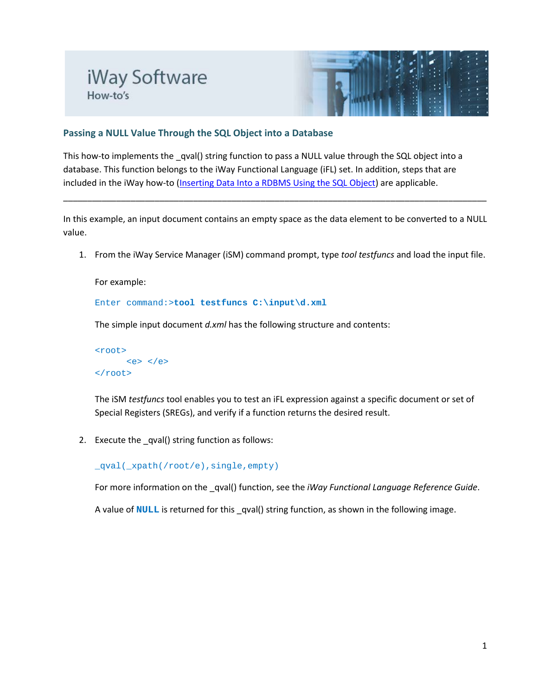## iWay Software How-to's



## **Passing a NULL Value Through the SQL Object into a Database**

This how-to implements the \_qval() string function to pass a NULL value through the SQL object into a database. This function belongs to the iWay Functional Language (iFL) set. In addition, steps that are included in the iWay how-to [\(Inserting Data Into a RDBMS Using the SQL Object\)](http://iwayinfocenter.informationbuilders.com/how_to/iWay_How_To_Inserting_Data_Into_RDBMS_Using_SQL_Object.pdf) are applicable.

In this example, an input document contains an empty space as the data element to be converted to a NULL value.

\_\_\_\_\_\_\_\_\_\_\_\_\_\_\_\_\_\_\_\_\_\_\_\_\_\_\_\_\_\_\_\_\_\_\_\_\_\_\_\_\_\_\_\_\_\_\_\_\_\_\_\_\_\_\_\_\_\_\_\_\_\_\_\_\_\_\_\_\_\_\_\_\_\_\_\_\_\_\_\_\_\_\_\_\_\_\_\_

1. From the iWay Service Manager (iSM) command prompt, type *tool testfuncs* and load the input file.

For example:

Enter command:>**tool testfuncs C:\input\d.xml**

The simple input document *d.xml* has the following structure and contents:

```
<root>
            \langle e \rangle \langle e \rangle</root>
```
The iSM *testfuncs* tool enables you to test an iFL expression against a specific document or set of Special Registers (SREGs), and verify if a function returns the desired result.

2. Execute the qval() string function as follows:

\_qval(\_xpath(/root/e),single,empty)

For more information on the \_qval() function, see the *iWay Functional Language Reference Guide*.

A value of **NULL** is returned for this \_qval() string function, as shown in the following image.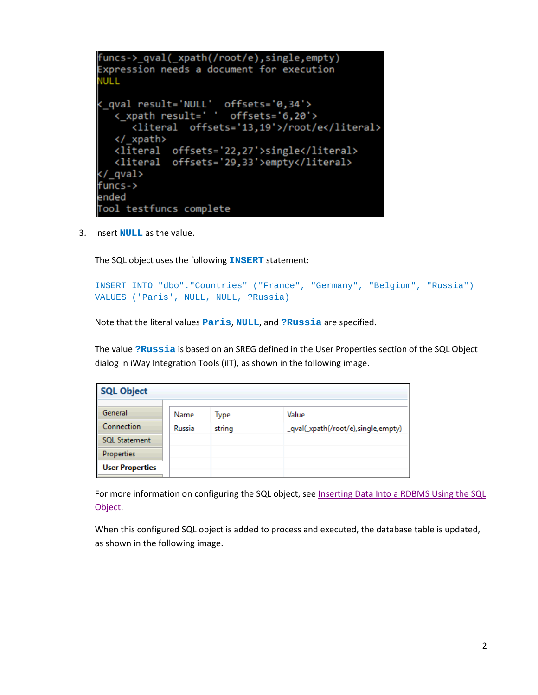```
funcs->_qval(_xpath(/root/e),single,empty)
Expression needs a document for execution
JULL
( qval result='NULL' offsets='0,34'>
  < xpath result=' ' offsets='6,20'>
     <literal offsets='13,19'>/root/e</literal>
  </ xpath>
  <literal offsets='22,27'>single</literal>
  <literal offsets='29,33'>empty</literal>
</ qval>
funcs->
ended
ool testfuncs complete
```
3. Insert **NULL** as the value.

The SQL object uses the following **INSERT** statement:

```
INSERT INTO "dbo"."Countries" ("France", "Germany", "Belgium", "Russia") 
VALUES ('Paris', NULL, NULL, ?Russia)
```
Note that the literal values **Paris**, **NULL**, and **?Russia** are specified.

The value **?Russia** is based on an SREG defined in the User Properties section of the SQL Object dialog in iWay Integration Tools (iIT), as shown in the following image.

| <b>SQL Object</b>      |                |                |                                              |  |  |  |  |  |  |  |
|------------------------|----------------|----------------|----------------------------------------------|--|--|--|--|--|--|--|
| General<br>Connection  | Name<br>Russia | Type<br>string | Value<br>_qval(_xpath(/root/e),single,empty) |  |  |  |  |  |  |  |
| <b>SQL Statement</b>   |                |                |                                              |  |  |  |  |  |  |  |
| Properties             |                |                |                                              |  |  |  |  |  |  |  |
| <b>User Properties</b> |                |                |                                              |  |  |  |  |  |  |  |

For more information on configuring the SQL object, see Inserting Data Into a RDBMS Using the SQL [Object.](http://iwayinfocenter.informationbuilders.com/how_to/iWay_How_To_Inserting_Data_Into_RDBMS_Using_SQL_Object.pdf)

When this configured SQL object is added to process and executed, the database table is updated, as shown in the following image.